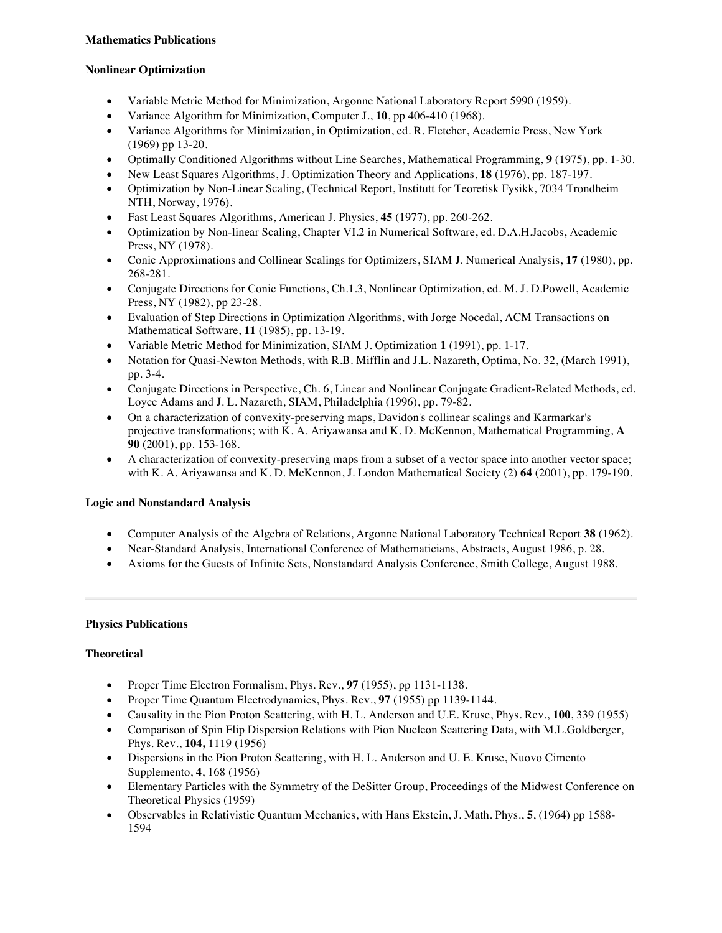# **Nonlinear Optimization**

- Variable Metric Method for Minimization, Argonne National Laboratory Report 5990 (1959).
- Variance Algorithm for Minimization, Computer J., **10**, pp 406-410 (1968).
- Variance Algorithms for Minimization, in Optimization, ed. R. Fletcher, Academic Press, New York (1969) pp 13-20.
- Optimally Conditioned Algorithms without Line Searches, Mathematical Programming, **9** (1975), pp. 1-30.
- New Least Squares Algorithms, J. Optimization Theory and Applications, **18** (1976), pp. 187-197.
- Optimization by Non-Linear Scaling, (Technical Report, Institutt for Teoretisk Fysikk, 7034 Trondheim NTH, Norway, 1976).
- Fast Least Squares Algorithms, American J. Physics, **45** (1977), pp. 260-262.
- Optimization by Non-linear Scaling, Chapter VI.2 in Numerical Software, ed. D.A.H.Jacobs, Academic Press, NY (1978).
- Conic Approximations and Collinear Scalings for Optimizers, SIAM J. Numerical Analysis, **17** (1980), pp. 268-281.
- Conjugate Directions for Conic Functions, Ch.1.3, Nonlinear Optimization, ed. M. J. D.Powell, Academic Press, NY (1982), pp 23-28.
- Evaluation of Step Directions in Optimization Algorithms, with Jorge Nocedal, ACM Transactions on Mathematical Software, **11** (1985), pp. 13-19.
- Variable Metric Method for Minimization, SIAM J. Optimization **1** (1991), pp. 1-17.
- Notation for Quasi-Newton Methods, with R.B. Mifflin and J.L. Nazareth, Optima, No. 32, (March 1991), pp. 3-4.
- Conjugate Directions in Perspective, Ch. 6, Linear and Nonlinear Conjugate Gradient-Related Methods, ed. Loyce Adams and J. L. Nazareth, SIAM, Philadelphia (1996), pp. 79-82.
- On a characterization of convexity-preserving maps, Davidon's collinear scalings and Karmarkar's projective transformations; with K. A. Ariyawansa and K. D. McKennon, Mathematical Programming, **A 90** (2001), pp. 153-168.
- A characterization of convexity-preserving maps from a subset of a vector space into another vector space; with K. A. Ariyawansa and K. D. McKennon, J. London Mathematical Society (2) **64** (2001), pp. 179-190.

### **Logic and Nonstandard Analysis**

- Computer Analysis of the Algebra of Relations, Argonne National Laboratory Technical Report **38** (1962).
- Near-Standard Analysis, International Conference of Mathematicians, Abstracts, August 1986, p. 28.
- Axioms for the Guests of Infinite Sets, Nonstandard Analysis Conference, Smith College, August 1988.

### **Physics Publications**

### **Theoretical**

- Proper Time Electron Formalism, Phys. Rev., **97** (1955), pp 1131-1138.
- Proper Time Quantum Electrodynamics, Phys. Rev., **97** (1955) pp 1139-1144.
- Causality in the Pion Proton Scattering, with H. L. Anderson and U.E. Kruse, Phys. Rev., **100**, 339 (1955)
- Comparison of Spin Flip Dispersion Relations with Pion Nucleon Scattering Data, with M.L.Goldberger, Phys. Rev., **104,** 1119 (1956)
- Dispersions in the Pion Proton Scattering, with H. L. Anderson and U. E. Kruse, Nuovo Cimento Supplemento, **4**, 168 (1956)
- Elementary Particles with the Symmetry of the DeSitter Group, Proceedings of the Midwest Conference on Theoretical Physics (1959)
- Observables in Relativistic Quantum Mechanics, with Hans Ekstein, J. Math. Phys., **5**, (1964) pp 1588- 1594